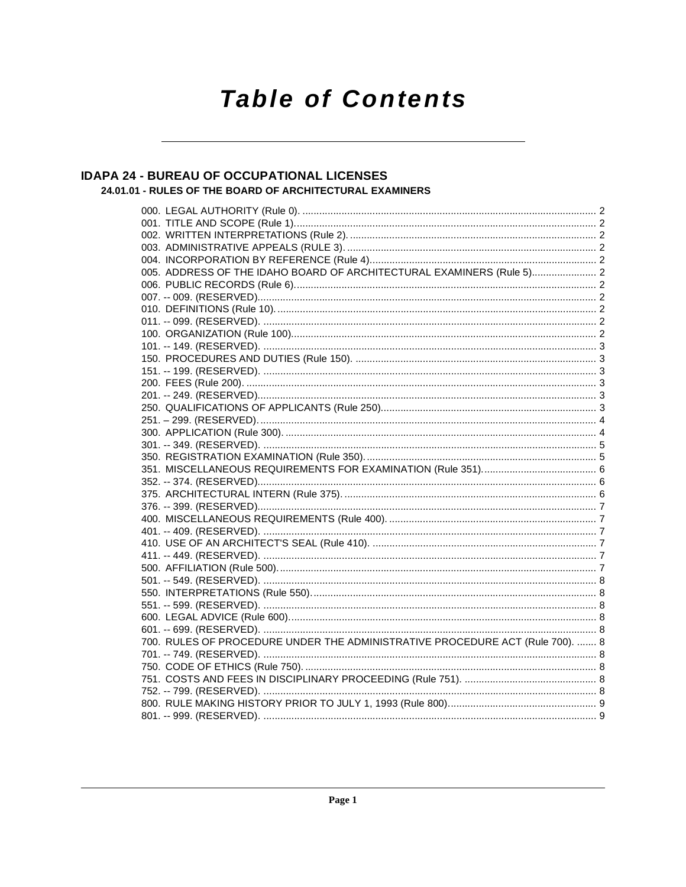# **Table of Contents**

#### **IDAPA 24 - BUREAU OF OCCUPATIONAL LICENSES** 24.01.01 - RULES OF THE BOARD OF ARCHITECTURAL EXAMINERS

| 005. ADDRESS OF THE IDAHO BOARD OF ARCHITECTURAL EXAMINERS (Rule 5) 2         |  |
|-------------------------------------------------------------------------------|--|
|                                                                               |  |
|                                                                               |  |
|                                                                               |  |
|                                                                               |  |
|                                                                               |  |
|                                                                               |  |
|                                                                               |  |
|                                                                               |  |
|                                                                               |  |
|                                                                               |  |
|                                                                               |  |
|                                                                               |  |
|                                                                               |  |
|                                                                               |  |
|                                                                               |  |
|                                                                               |  |
|                                                                               |  |
|                                                                               |  |
|                                                                               |  |
|                                                                               |  |
|                                                                               |  |
|                                                                               |  |
|                                                                               |  |
|                                                                               |  |
|                                                                               |  |
|                                                                               |  |
|                                                                               |  |
|                                                                               |  |
|                                                                               |  |
| 700. RULES OF PROCEDURE UNDER THE ADMINISTRATIVE PROCEDURE ACT (Rule 700).  8 |  |
|                                                                               |  |
|                                                                               |  |
|                                                                               |  |
|                                                                               |  |
|                                                                               |  |
|                                                                               |  |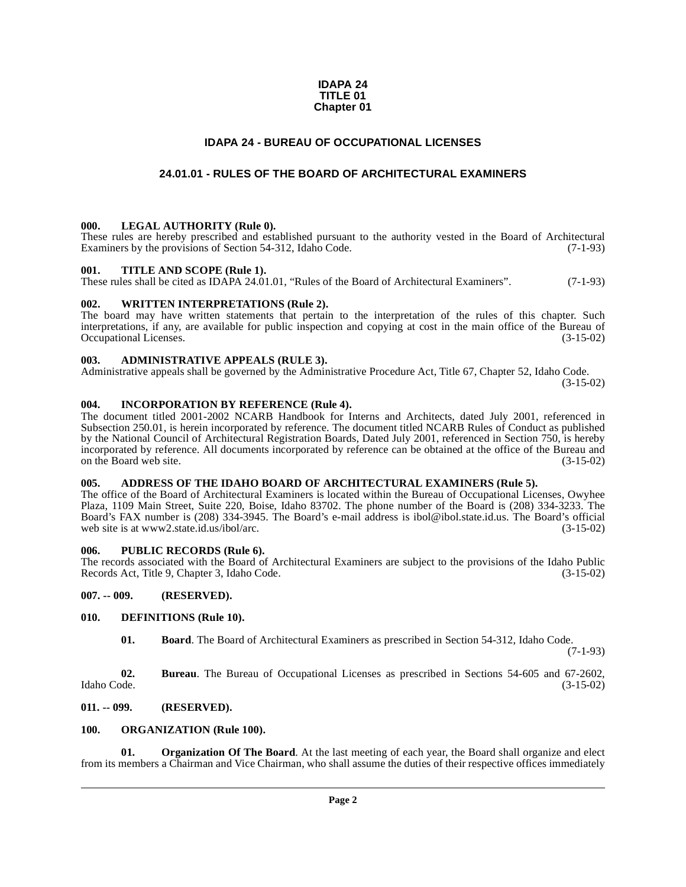#### **IDAPA 24 TITLE 01 Chapter 01**

#### **IDAPA 24 - BUREAU OF OCCUPATIONAL LICENSES**

#### **24.01.01 - RULES OF THE BOARD OF ARCHITECTURAL EXAMINERS**

#### <span id="page-1-2"></span><span id="page-1-1"></span><span id="page-1-0"></span>**000. LEGAL AUTHORITY (Rule 0).**

These rules are hereby prescribed and established pursuant to the authority vested in the Board of Architectural Examiners by the provisions of Section 54-312, Idaho Code. (7-1-93)

#### <span id="page-1-3"></span>**001. TITLE AND SCOPE (Rule 1).**

These rules shall be cited as IDAPA 24.01.01, "Rules of the Board of Architectural Examiners". (7-1-93)

#### <span id="page-1-4"></span>**002. WRITTEN INTERPRETATIONS (Rule 2).**

The board may have written statements that pertain to the interpretation of the rules of this chapter. Such interpretations, if any, are available for public inspection and copying at cost in the main office of the Bureau of Occupational Licenses. (3-15-02) Occupational Licenses.

#### <span id="page-1-5"></span>**003. ADMINISTRATIVE APPEALS (RULE 3).**

Administrative appeals shall be governed by the Administrative Procedure Act, Title 67, Chapter 52, Idaho Code.

(3-15-02)

#### <span id="page-1-6"></span>**004. INCORPORATION BY REFERENCE (Rule 4).**

The document titled 2001-2002 NCARB Handbook for Interns and Architects, dated July 2001, referenced in Subsection 250.01, is herein incorporated by reference. The document titled NCARB Rules of Conduct as published by the National Council of Architectural Registration Boards, Dated July 2001, referenced in Section 750, is hereby incorporated by reference. All documents incorporated by reference can be obtained at the office of the Bureau and on the Board web site. (3-15-02)

#### <span id="page-1-7"></span>**005. ADDRESS OF THE IDAHO BOARD OF ARCHITECTURAL EXAMINERS (Rule 5).**

[The office of the Board of Architectural Examiners is located within the Bureau of Occupational Licenses, Owyhee](http://www2.state.id.us/ibol/arc) Plaza, 1109 Main Street, Suite 220, Boise, Idaho 83702. The phone number of the Board is (208) 334-3233. The Board's FAX number is (208) 334-3945. The Board's e-mail address is ibol@ibol.state.id.us. The Board's official web site is at www2.state.id.us/ibol/arc. (3-15-02) web site is at www2.state.id.us/ibol/arc.

#### <span id="page-1-8"></span>**006. PUBLIC RECORDS (Rule 6).**

The records associated with the Board of Architectural Examiners are subject to the provisions of the Idaho Public<br>Records Act. Title 9. Chapter 3. Idaho Code. (3-15-02) Records Act, Title 9, Chapter 3, Idaho Code.

<span id="page-1-9"></span>**007. -- 009. (RESERVED).**

#### <span id="page-1-10"></span>**010. DEFINITIONS (Rule 10).**

<span id="page-1-13"></span>**01. Board**. The Board of Architectural Examiners as prescribed in Section 54-312, Idaho Code.

(7-1-93)

**02.** Bureau. The Bureau of Occupational Licenses as prescribed in Sections 54-605 and 67-2602, Idaho Code. (3-15-02) Idaho Code. (3-15-02)

#### <span id="page-1-11"></span>**011. -- 099. (RESERVED).**

#### <span id="page-1-15"></span><span id="page-1-12"></span>**100. ORGANIZATION (Rule 100).**

<span id="page-1-14"></span>**01. Organization Of The Board**. At the last meeting of each year, the Board shall organize and elect from its members a Chairman and Vice Chairman, who shall assume the duties of their respective offices immediately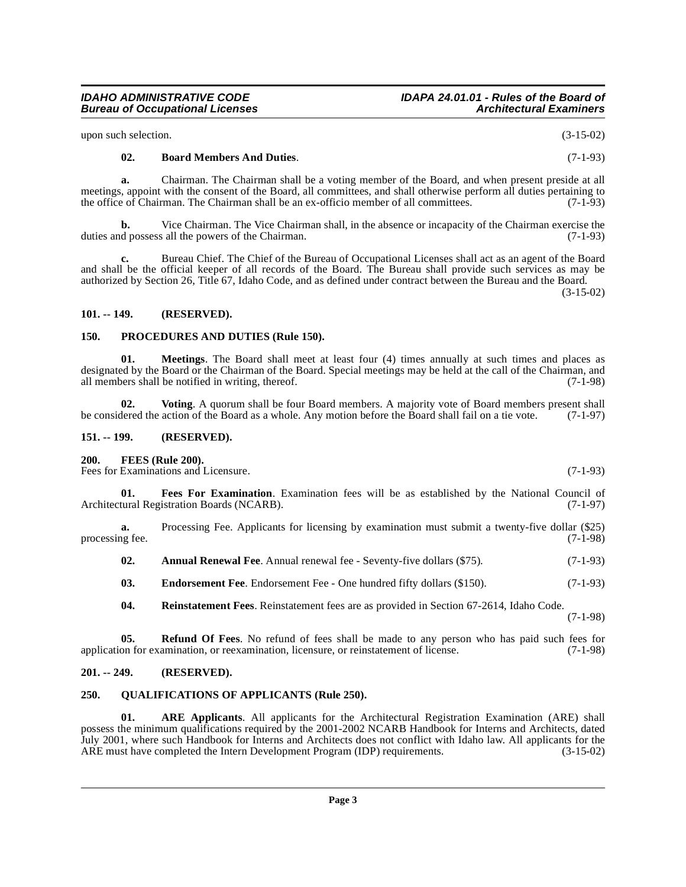### **IDAHO ADMINISTRATIVE CODE IDAPA 24.01.01 - Rules of the Board of**

upon such selection. (3-15-02)

### **a.** Chairman. The Chairman shall be a voting member of the Board, and when present preside at all meetings, appoint with the consent of the Board, all committees, and shall otherwise perform all duties pertaining to<br>the office of Chairman. The Chairman shall be an ex-officio member of all committees. (7-1-93)

the office of Chairman. The Chairman shall be an ex-officio member of all committees.

<span id="page-2-8"></span>**02. Board Members And Duties**. (7-1-93)

**b.** Vice Chairman. The Vice Chairman shall, in the absence or incapacity of the Chairman exercise the d possess all the powers of the Chairman. (7-1-93) duties and possess all the powers of the Chairman.

**c.** Bureau Chief. The Chief of the Bureau of Occupational Licenses shall act as an agent of the Board and shall be the official keeper of all records of the Board. The Bureau shall provide such services as may be authorized by Section 26, Title 67, Idaho Code, and as defined under contract between the Bureau and the Board.

(3-15-02)

#### <span id="page-2-0"></span>**101. -- 149. (RESERVED).**

#### <span id="page-2-13"></span><span id="page-2-1"></span>**150. PROCEDURES AND DUTIES (Rule 150).**

<span id="page-2-12"></span>**01. Meetings**. The Board shall meet at least four (4) times annually at such times and places as designated by the Board or the Chairman of the Board. Special meetings may be held at the call of the Chairman, and all members shall be notified in writing, thereof.  $(7-1-98)$ 

<span id="page-2-17"></span>**02.** Voting. A quorum shall be four Board members. A majority vote of Board members present shall dered the action of the Board as a whole. Any motion before the Board shall fail on a tie vote. (7-1-97) be considered the action of the Board as a whole. Any motion before the Board shall fail on a tie vote.

#### <span id="page-2-2"></span>**151. -- 199. (RESERVED).**

#### <span id="page-2-11"></span><span id="page-2-3"></span>**200. FEES (Rule 200).**

Fees for Examinations and Licensure. (7-1-93)

<span id="page-2-10"></span>**01. Fees For Examination**. Examination fees will be as established by the National Council of Architectural Registration Boards (NCARB). (7-1-97)

**a.** Processing Fee. Applicants for licensing by examination must submit a twenty-five dollar (\$25) is fee. (7-1-98) processing fee.

<span id="page-2-7"></span>**02.** Annual Renewal Fee. Annual renewal fee - Seventy-five dollars (\$75). (7-1-93)

<span id="page-2-9"></span>**03. Endorsement Fee**. Endorsement Fee - One hundred fifty dollars (\$150). (7-1-93)

<span id="page-2-16"></span><span id="page-2-15"></span>**04. Reinstatement Fees**. Reinstatement fees are as provided in Section 67-2614, Idaho Code.

(7-1-98)

**05. Refund Of Fees**. No refund of fees shall be made to any person who has paid such fees for application for examination, or reexamination, licensure, or reinstatement of license. (7-1-98)

#### <span id="page-2-4"></span>**201. -- 249. (RESERVED).**

#### <span id="page-2-14"></span><span id="page-2-5"></span>**250. QUALIFICATIONS OF APPLICANTS (Rule 250).**

<span id="page-2-6"></span>**01. ARE Applicants**. All applicants for the Architectural Registration Examination (ARE) shall possess the minimum qualifications required by the 2001-2002 NCARB Handbook for Interns and Architects, dated July 2001, where such Handbook for Interns and Architects does not conflict with Idaho law. All applicants for the ARE must have completed the Intern Development Program (IDP) requirements. (3-15-02)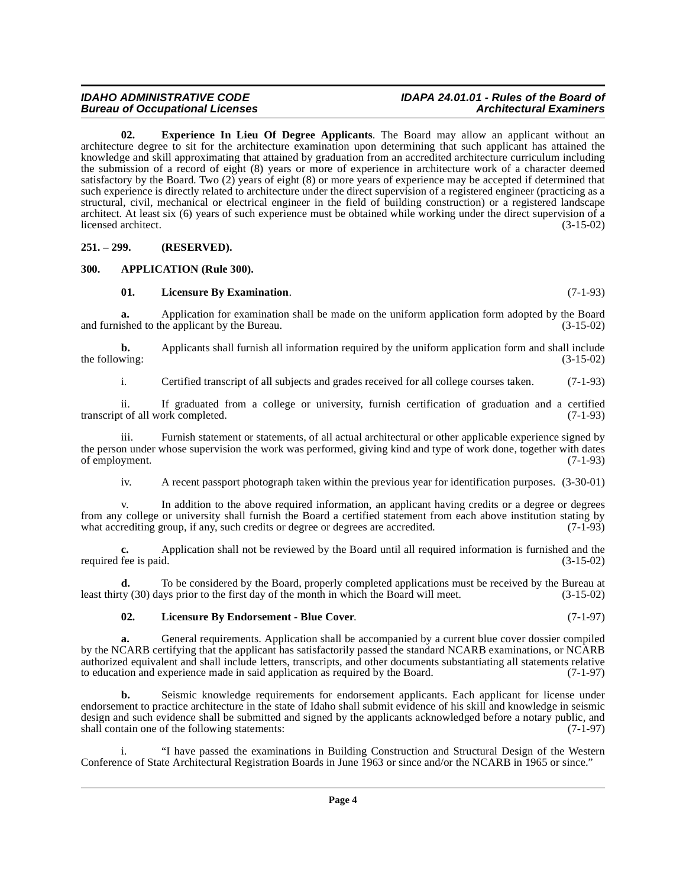## **IDAHO ADMINISTRATIVE CODE IDAPA 24.01.01 - Rules of the Board of**

<span id="page-3-3"></span>**02. Experience In Lieu Of Degree Applicants**. The Board may allow an applicant without an architecture degree to sit for the architecture examination upon determining that such applicant has attained the knowledge and skill approximating that attained by graduation from an accredited architecture curriculum including the submission of a record of eight (8) years or more of experience in architecture work of a character deemed satisfactory by the Board. Two  $(2)$  years of eight  $(8)$  or more years of experience may be accepted if determined that such experience is directly related to architecture under the direct supervision of a registered engineer (practicing as a structural, civil, mechanical or electrical engineer in the field of building construction) or a registered landscape architect. At least six (6) years of such experience must be obtained while working under the direct supervision of a licensed architect.

<span id="page-3-0"></span>**251. – 299. (RESERVED).**

#### <span id="page-3-1"></span>**300. APPLICATION (Rule 300).**

#### <span id="page-3-5"></span><span id="page-3-2"></span>**01. Licensure By Examination**. (7-1-93)

**a.** Application for examination shall be made on the uniform application form adopted by the Board ished to the applicant by the Bureau.  $(3-15-02)$ and furnished to the applicant by the Bureau.

**b.** Applicants shall furnish all information required by the uniform application form and shall include wing:  $(3-15-02)$ the following:

i. Certified transcript of all subjects and grades received for all college courses taken. (7-1-93)

ii. If graduated from a college or university, furnish certification of graduation and a certified transcript of all work completed.

iii. Furnish statement or statements, of all actual architectural or other applicable experience signed by the person under whose supervision the work was performed, giving kind and type of work done, together with dates of employment. (7-1-93)

iv. A recent passport photograph taken within the previous year for identification purposes. (3-30-01)

v. In addition to the above required information, an applicant having credits or a degree or degrees from any college or university shall furnish the Board a certified statement from each above institution stating by what accrediting group, if any, such credits or degree or degrees are accredited. (7-1-93) what accrediting group, if any, such credits or degree or degrees are accredited.

**c.** Application shall not be reviewed by the Board until all required information is furnished and the required fee is paid. (3-15-02)

**d.** To be considered by the Board, properly completed applications must be received by the Bureau at ty (30) days prior to the first day of the month in which the Board will meet. (3-15-02) least thirty (30) days prior to the first day of the month in which the Board will meet.

#### <span id="page-3-4"></span>**02. Licensure By Endorsement - Blue Cover**. (7-1-97)

**a.** General requirements. Application shall be accompanied by a current blue cover dossier compiled by the NCARB certifying that the applicant has satisfactorily passed the standard NCARB examinations, or NCARB authorized equivalent and shall include letters, transcripts, and other documents substantiating all statements relative to education and experience made in said application as required by the Board. (7-1-97) to education and experience made in said application as required by the Board.

**b.** Seismic knowledge requirements for endorsement applicants. Each applicant for license under endorsement to practice architecture in the state of Idaho shall submit evidence of his skill and knowledge in seismic design and such evidence shall be submitted and signed by the applicants acknowledged before a notary public, and shall contain one of the following statements: (7-1-97) shall contain one of the following statements:

i. "I have passed the examinations in Building Construction and Structural Design of the Western Conference of State Architectural Registration Boards in June 1963 or since and/or the NCARB in 1965 or since."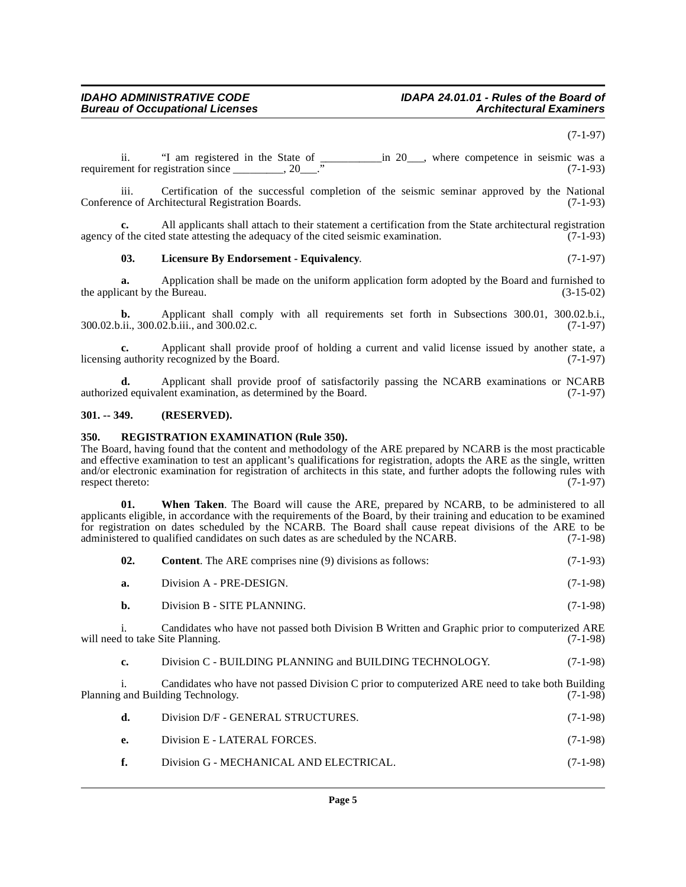#### (7-1-97)

ii. "I am registered in the State of \_\_\_\_\_\_\_\_\_\_\_\_in 20\_\_\_, where competence in seismic was a requirement for registration since  $\overline{20}$  ..." (7-1-93)

iii. Certification of the successful completion of the seismic seminar approved by the National (7-1-93) Conference of Architectural Registration Boards.

**c.** All applicants shall attach to their statement a certification from the State architectural registration agency of the cited state attesting the adequacy of the cited seismic examination.  $(7-1-93)$ 

#### <span id="page-4-2"></span>**03. Licensure By Endorsement - Equivalency**. (7-1-97)

**a.** Application shall be made on the uniform application form adopted by the Board and furnished to cant by the Bureau. (3-15-02) the applicant by the Bureau.

**b.** Applicant shall comply with all requirements set forth in Subsections 300.01, 300.02.b.i., <br>ii., 300.02.b.iii., and 300.02.c. 300.02.b.ii., 300.02.b.iii., and 300.02.c.

**c.** Applicant shall provide proof of holding a current and valid license issued by another state, a licensing authority recognized by the Board. (7-1-97)

**d.** Applicant shall provide proof of satisfactorily passing the NCARB examinations or NCARB authorized equivalent examination, as determined by the Board.  $(7-1-97)$ 

#### <span id="page-4-0"></span>**301. -- 349. (RESERVED).**

#### <span id="page-4-3"></span><span id="page-4-1"></span>**350. REGISTRATION EXAMINATION (Rule 350).**

The Board, having found that the content and methodology of the ARE prepared by NCARB is the most practicable and effective examination to test an applicant's qualifications for registration, adopts the ARE as the single, written and/or electronic examination for registration of architects in this state, and further adopts the following rules with respect thereto:  $(7-1-97)$ 

**01. When Taken**. The Board will cause the ARE, prepared by NCARB, to be administered to all applicants eligible, in accordance with the requirements of the Board, by their training and education to be examined for registration on dates scheduled by the NCARB. The Board shall cause repeat divisions of the ARE to be administered to qualified candidates on such dates as are scheduled by the NCARB. (7-1-98) administered to qualified candidates on such dates as are scheduled by the NCARB.

| - 02. | <b>Content.</b> The ARE comprises nine (9) divisions as follows: | $(7-1-93)$ |
|-------|------------------------------------------------------------------|------------|
| а.    | Division A - PRE-DESIGN.                                         | $(7-1-98)$ |
| b.    | Division B - SITE PLANNING.                                      | $(7-1-98)$ |

i. Candidates who have not passed both Division B Written and Graphic prior to computerized ARE will need to take Site Planning. (7-1-98)

**c.** Division C - BUILDING PLANNING and BUILDING TECHNOLOGY. (7-1-98)

i. Candidates who have not passed Division C prior to computerized ARE need to take both Building Planning and Building Technology. (7-1-98)

| - d. -       | Division D/F - GENERAL STRUCTURES.      | $(7-1-98)$ |
|--------------|-----------------------------------------|------------|
| <b>e.</b>    | Division E - LATERAL FORCES.            | $(7-1-98)$ |
| $\mathbf{f}$ | Division G - MECHANICAL AND ELECTRICAL. | $(7-1-98)$ |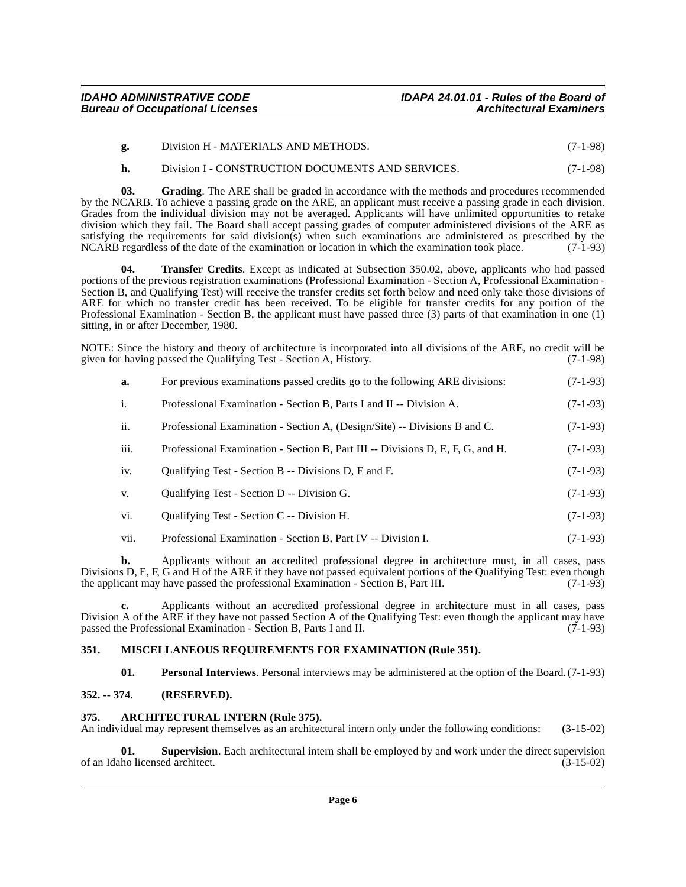|  | Division H - MATERIALS AND METHODS. | $(7-1-98)$ |
|--|-------------------------------------|------------|
|--|-------------------------------------|------------|

#### <span id="page-5-4"></span>**h.** Division I - CONSTRUCTION DOCUMENTS AND SERVICES. (7-1-98)

**03. Grading**. The ARE shall be graded in accordance with the methods and procedures recommended by the NCARB. To achieve a passing grade on the ARE, an applicant must receive a passing grade in each division. Grades from the individual division may not be averaged. Applicants will have unlimited opportunities to retake division which they fail. The Board shall accept passing grades of computer administered divisions of the ARE as satisfying the requirements for said division(s) when such examinations are administered as prescribed by the NCARB regardless of the date of the examination or location in which the examination took place.  $(7-1-93)$ NCARB regardless of the date of the examination or location in which the examination took place.

<span id="page-5-8"></span>**04. Transfer Credits**. Except as indicated at Subsection 350.02, above, applicants who had passed portions of the previous registration examinations (Professional Examination - Section A, Professional Examination - Section B, and Qualifying Test) will receive the transfer credits set forth below and need only take those divisions of ARE for which no transfer credit has been received. To be eligible for transfer credits for any portion of the Professional Examination - Section B, the applicant must have passed three (3) parts of that examination in one (1) sitting, in or after December, 1980.

NOTE: Since the history and theory of architecture is incorporated into all divisions of the ARE, no credit will be given for having passed the Oualifying Test - Section A. History. (7-1-98) given for having passed the Qualifying Test - Section A, History.

| For previous examinations passed credits go to the following ARE divisions: | $(7-1-93)$ |
|-----------------------------------------------------------------------------|------------|
|                                                                             |            |

- i. Professional Examination Section B, Parts I and II -- Division A. (7-1-93)
- ii. Professional Examination Section A, (Design/Site) -- Divisions B and C. (7-1-93)
- iii. Professional Examination Section B, Part III -- Divisions D, E, F, G, and H. (7-1-93)
- iv. Qualifying Test Section B -- Divisions D, E and F. (7-1-93)
- v. Qualifying Test Section D -- Division G. (7-1-93)
- vi. Qualifying Test Section C -- Division H. (7-1-93)
- vii. Professional Examination Section B, Part IV -- Division I. (7-1-93)

**b.** Applicants without an accredited professional degree in architecture must, in all cases, pass Divisions D, E, F, G and H of the ARE if they have not passed equivalent portions of the Qualifying Test: even though the applicant may have passed the professional Examination - Section B, Part III. (7-1-93)

**c.** Applicants without an accredited professional degree in architecture must in all cases, pass Division A of the ARE if they have not passed Section A of the Qualifying Test: even though the applicant may have passed the Professional Examination - Section B, Parts I and II. (7-1-93) passed the Professional Examination - Section B, Parts I and II.

#### <span id="page-5-0"></span>**351. MISCELLANEOUS REQUIREMENTS FOR EXAMINATION (Rule 351).**

<span id="page-5-6"></span><span id="page-5-5"></span><span id="page-5-3"></span>**01. Personal Interviews**. Personal interviews may be administered at the option of the Board. (7-1-93)

#### <span id="page-5-1"></span>**352. -- 374. (RESERVED).**

#### <span id="page-5-2"></span>**375. ARCHITECTURAL INTERN (Rule 375).**

An individual may represent themselves as an architectural intern only under the following conditions: (3-15-02)

<span id="page-5-7"></span>**01. Supervision**. Each architectural intern shall be employed by and work under the direct supervision of an Idaho licensed architect. (3-15-02)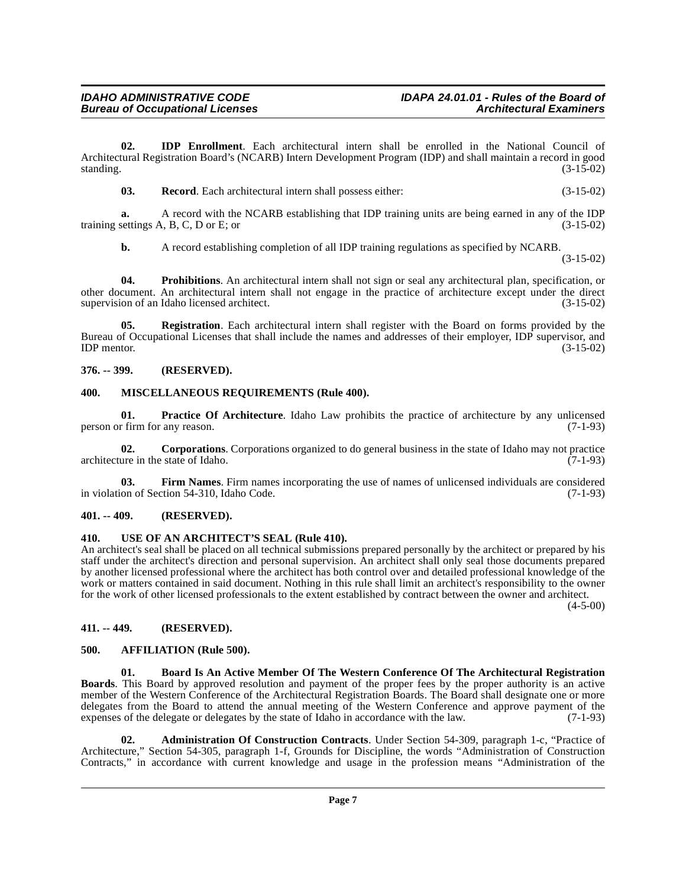**02. IDP Enrollment**. Each architectural intern shall be enrolled in the National Council of Architectural Registration Board's (NCARB) Intern Development Program (IDP) and shall maintain a record in good standing.  $(3-15-02)$ 

<span id="page-6-15"></span><span id="page-6-11"></span>**03. Record**. Each architectural intern shall possess either: (3-15-02)

**a.** A record with the NCARB establishing that IDP training units are being earned in any of the IDP settings A, B, C, D or E; or training settings  $A$ ,  $B$ ,  $C$ ,  $D$  or  $E$ ; or

<span id="page-6-14"></span>**b.** A record establishing completion of all IDP training regulations as specified by NCARB.

(3-15-02)

**04. Prohibitions**. An architectural intern shall not sign or seal any architectural plan, specification, or other document. An architectural intern shall not engage in the practice of architecture except under the direct supervision of an Idaho licensed architect.

<span id="page-6-16"></span>**05. Registration**. Each architectural intern shall register with the Board on forms provided by the Bureau of Occupational Licenses that shall include the names and addresses of their employer, IDP supervisor, and<br>(3-15-02)  $IDP$  mentor.  $(3-15-02)$ 

#### <span id="page-6-0"></span>**376. -- 399. (RESERVED).**

#### <span id="page-6-12"></span><span id="page-6-1"></span>**400. MISCELLANEOUS REQUIREMENTS (Rule 400).**

<span id="page-6-13"></span>**01. Practice Of Architecture**. Idaho Law prohibits the practice of architecture by any unlicensed r firm for any reason. (7-1-93) person or firm for any reason.

<span id="page-6-9"></span>**02. Corporations**. Corporations organized to do general business in the state of Idaho may not practice ure in the state of Idaho. (7-1-93) architecture in the state of Idaho.

<span id="page-6-10"></span>**03. Firm Names**. Firm names incorporating the use of names of unlicensed individuals are considered in violation of Section 54-310, Idaho Code. (7-1-93)

#### <span id="page-6-2"></span>**401. -- 409. (RESERVED).**

#### <span id="page-6-3"></span>**410. USE OF AN ARCHITECT'S SEAL (Rule 410).**

An architect's seal shall be placed on all technical submissions prepared personally by the architect or prepared by his staff under the architect's direction and personal supervision. An architect shall only seal those documents prepared by another licensed professional where the architect has both control over and detailed professional knowledge of the work or matters contained in said document. Nothing in this rule shall limit an architect's responsibility to the owner for the work of other licensed professionals to the extent established by contract between the owner and architect.

 $(4 - 5 - 00)$ 

#### <span id="page-6-4"></span>**411. -- 449. (RESERVED).**

#### <span id="page-6-7"></span><span id="page-6-5"></span>**500. AFFILIATION (Rule 500).**

<span id="page-6-8"></span>**01. Board Is An Active Member Of The Western Conference Of The Architectural Registration Boards**. This Board by approved resolution and payment of the proper fees by the proper authority is an active member of the Western Conference of the Architectural Registration Boards. The Board shall designate one or more delegates from the Board to attend the annual meeting of the Western Conference and approve payment of the expenses of the delegate or delegates by the state of Idaho in accordance with the law. (7-1-93)

<span id="page-6-6"></span>**02. Administration Of Construction Contracts**. Under Section 54-309, paragraph 1-c, "Practice of Architecture," Section 54-305, paragraph 1-f, Grounds for Discipline, the words "Administration of Construction Contracts," in accordance with current knowledge and usage in the profession means "Administration of the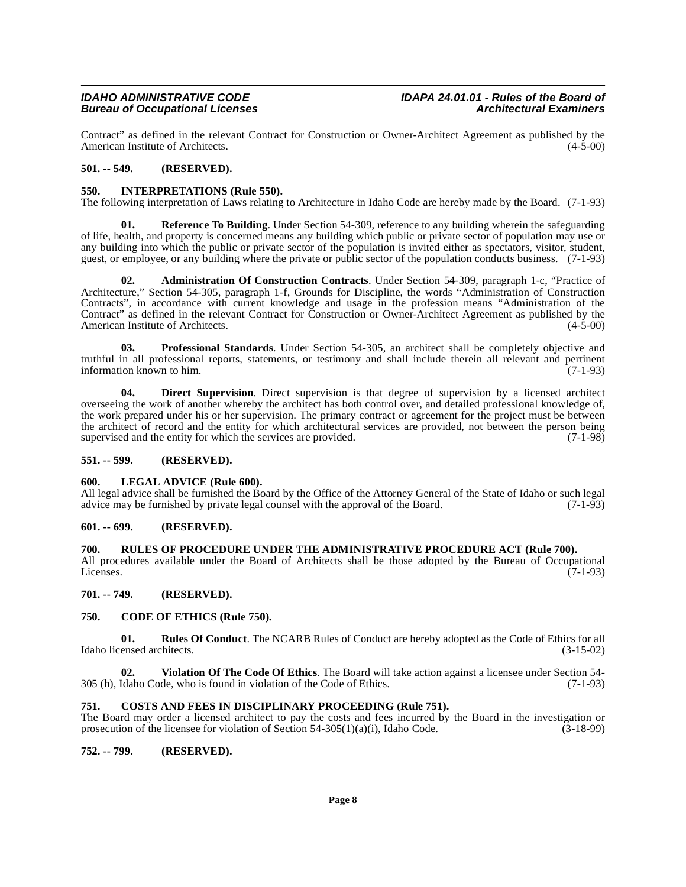Contract" as defined in the relevant Contract for Construction or Owner-Architect Agreement as published by the American Institute of Architects. (4-5-00) American Institute of Architects.

#### <span id="page-7-0"></span>**501. -- 549. (RESERVED).**

#### <span id="page-7-14"></span><span id="page-7-1"></span>**550. INTERPRETATIONS (Rule 550).**

The following interpretation of Laws relating to Architecture in Idaho Code are hereby made by the Board. (7-1-93)

<span id="page-7-17"></span>**01. Reference To Building**. Under Section 54-309, reference to any building wherein the safeguarding of life, health, and property is concerned means any building which public or private sector of population may use or any building into which the public or private sector of the population is invited either as spectators, visitor, student, guest, or employee, or any building where the private or public sector of the population conducts business. (7-1-93)

<span id="page-7-10"></span>**02. Administration Of Construction Contracts**. Under Section 54-309, paragraph 1-c, "Practice of Architecture," Section 54-305, paragraph 1-f, Grounds for Discipline, the words "Administration of Construction Contracts", in accordance with current knowledge and usage in the profession means "Administration of the Contract" as defined in the relevant Contract for Construction or Owner-Architect Agreement as published by the American Institute of Architects. (4-5-00) American Institute of Architects.

<span id="page-7-16"></span>**03. Professional Standards**. Under Section 54-305, an architect shall be completely objective and truthful in all professional reports, statements, or testimony and shall include therein all relevant and pertinent information known to him.  $(7-1-93)$ 

<span id="page-7-13"></span>**04. Direct Supervision**. Direct supervision is that degree of supervision by a licensed architect overseeing the work of another whereby the architect has both control over, and detailed professional knowledge of, the work prepared under his or her supervision. The primary contract or agreement for the project must be between the architect of record and the entity for which architectural services are provided, not between the person being supervised and the entity for which the services are provided.  $(7-1-98)$ 

#### <span id="page-7-2"></span>**551. -- 599. (RESERVED).**

#### <span id="page-7-15"></span><span id="page-7-3"></span>**600. LEGAL ADVICE (Rule 600).**

All legal advice shall be furnished the Board by the Office of the Attorney General of the State of Idaho or such legal advice may be furnished by private legal counsel with the approval of the Board. (7-1-93) advice may be furnished by private legal counsel with the approval of the Board.

#### <span id="page-7-4"></span>**601. -- 699. (RESERVED).**

#### <span id="page-7-5"></span>**700. RULES OF PROCEDURE UNDER THE ADMINISTRATIVE PROCEDURE ACT (Rule 700).**

All procedures available under the Board of Architects shall be those adopted by the Bureau of Occupational Licenses. (7-1-93) Licenses. (7-1-93)

<span id="page-7-6"></span>**701. -- 749. (RESERVED).**

#### <span id="page-7-11"></span><span id="page-7-7"></span>**750. CODE OF ETHICS (Rule 750).**

<span id="page-7-18"></span>**01. Rules Of Conduct**. The NCARB Rules of Conduct are hereby adopted as the Code of Ethics for all Idaho licensed architects. (3-15-02)

<span id="page-7-19"></span>**02. Violation Of The Code Of Ethics**. The Board will take action against a licensee under Section 54- 305 (h), Idaho Code, who is found in violation of the Code of Ethics. (7-1-93)

#### <span id="page-7-12"></span><span id="page-7-8"></span>**751. COSTS AND FEES IN DISCIPLINARY PROCEEDING (Rule 751).**

The Board may order a licensed architect to pay the costs and fees incurred by the Board in the investigation or prosecution of the licensee for violation of Section 54-305(1)(a)(i), Idaho Code. (3-18-99) prosecution of the licensee for violation of Section  $54-305(1)(a)(i)$ , Idaho Code.

#### <span id="page-7-9"></span>**752. -- 799. (RESERVED).**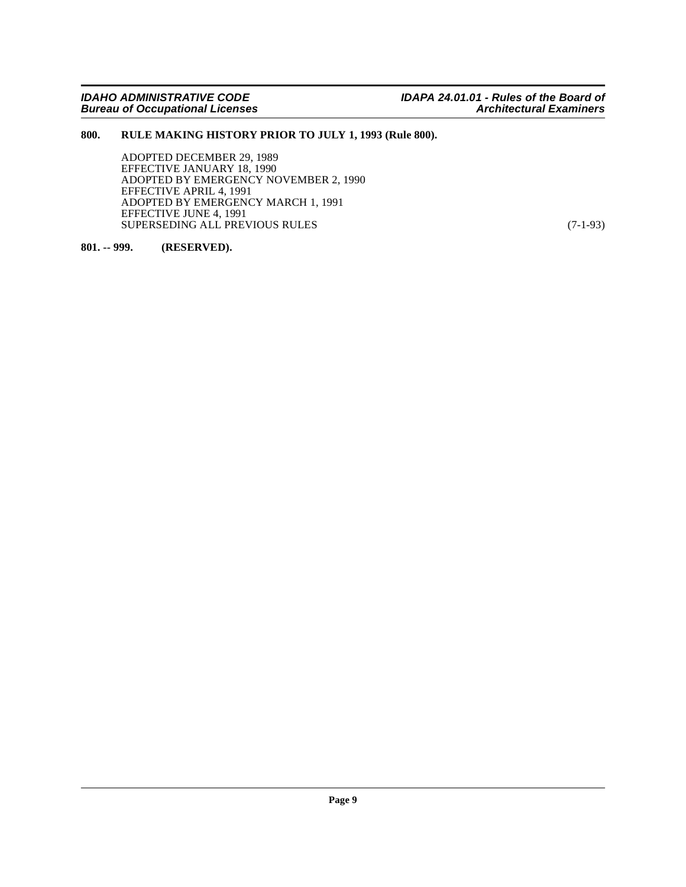#### <span id="page-8-0"></span>**800. RULE MAKING HISTORY PRIOR TO JULY 1, 1993 (Rule 800).**

ADOPTED DECEMBER 29, 1989 EFFECTIVE JANUARY 18, 1990 ADOPTED BY EMERGENCY NOVEMBER 2, 1990 EFFECTIVE APRIL 4, 1991 ADOPTED BY EMERGENCY MARCH 1, 1991 EFFECTIVE JUNE 4, 1991 SUPERSEDING ALL PREVIOUS RULES (7-1-93)

#### <span id="page-8-1"></span>**801. -- 999. (RESERVED).**